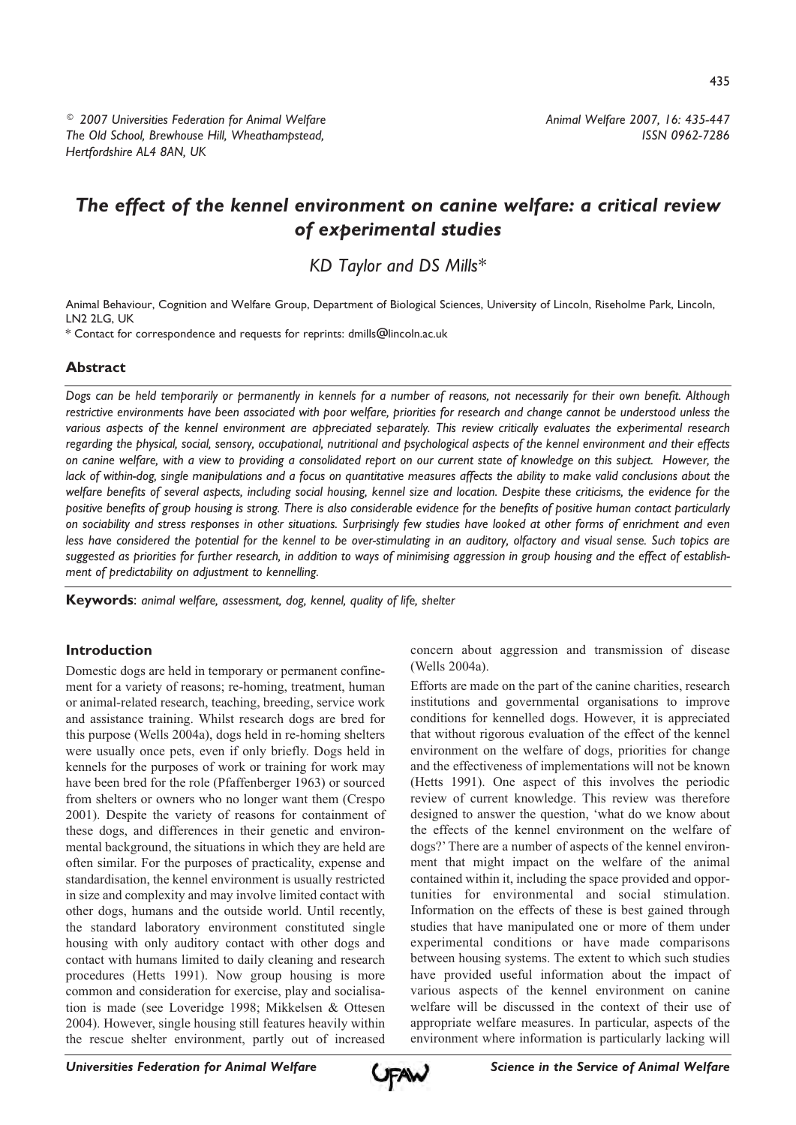<sup>©</sup> 2007 Universities Federation for Animal Welfare The Old School, Brewhouse Hill, Wheathampstead, Hertfordshire AL4 8AN, UK

# The effect of the kennel environment on canine welfare: a critical review of experimental studies

KD Taylor and DS Mills\*

Animal Behaviour, Cognition and Welfare Group, Department of Biological Sciences, University of Lincoln, Riseholme Park, Lincoln, LN2 2LG, UK

\* Contact for correspondence and requests for reprints: dmills@lincoln.ac.uk

## **Abstract**

Dogs can be held temporarily or permanently in kennels for a number of reasons, not necessarily for their own benefit. Although restrictive environments have been associated with poor welfare, priorities for research and change cannot be understood unless the various aspects of the kennel environment are appreciated separately. This review critically evaluates the experimental research regarding the physical, social, sensory, occupational, nutritional and psychological aspects of the kennel environment and their effects on canine welfare, with a view to providing a consolidated report on our current state of knowledge on this subject. However, the lack of within-dog, single manipulations and a focus on quantitative measures affects the ability to make valid conclusions about the welfare benefits of several aspects, including social housing, kennel size and location. Despite these criticisms, the evidence for the positive benefits of group housing is strong. There is also considerable evidence for the benefits of positive human contact particularly on sociability and stress responses in other situations. Surprisingly few studies have looked at other forms of enrichment and even less have considered the potential for the kennel to be over-stimulating in an auditory, olfactory and visual sense. Such topics are suggested as priorities for further research, in addition to ways of minimising aggression in group housing and the effect of establishment of predictability on adjustment to kennelling.

Keywords: animal welfare, assessment, dog, kennel, quality of life, shelter

#### **Introduction**

Domestic dogs are held in temporary or permanent confinement for a variety of reasons; re-homing, treatment, human or animal-related research, teaching, breeding, service work and assistance training. Whilst research dogs are bred for this purpose (Wells 2004a), dogs held in re-homing shelters were usually once pets, even if only briefly. Dogs held in kennels for the purposes of work or training for work may have been bred for the role (Pfaffenberger 1963) or sourced from shelters or owners who no longer want them (Crespo 2001). Despite the variety of reasons for containment of these dogs, and differences in their genetic and environmental background, the situations in which they are held are often similar. For the purposes of practicality, expense and standardisation, the kennel environment is usually restricted in size and complexity and may involve limited contact with other dogs, humans and the outside world. Until recently, the standard laboratory environment constituted single housing with only auditory contact with other dogs and contact with humans limited to daily cleaning and research procedures (Hetts 1991). Now group housing is more common and consideration for exercise, play and socialisation is made (see Loveridge 1998; Mikkelsen & Ottesen 2004). However, single housing still features heavily within the rescue shelter environment, partly out of increased

concern about aggression and transmission of disease (Wells 2004a).

Efforts are made on the part of the canine charities, research institutions and governmental organisations to improve conditions for kennelled dogs. However, it is appreciated that without rigorous evaluation of the effect of the kennel environment on the welfare of dogs, priorities for change and the effectiveness of implementations will not be known (Hetts 1991). One aspect of this involves the periodic review of current knowledge. This review was therefore designed to answer the question, 'what do we know about the effects of the kennel environment on the welfare of dogs?' There are a number of aspects of the kennel environment that might impact on the welfare of the animal contained within it, including the space provided and opportunities for environmental and social stimulation. Information on the effects of these is best gained through studies that have manipulated one or more of them under experimental conditions or have made comparisons between housing systems. The extent to which such studies have provided useful information about the impact of various aspects of the kennel environment on canine welfare will be discussed in the context of their use of appropriate welfare measures. In particular, aspects of the environment where information is particularly lacking will

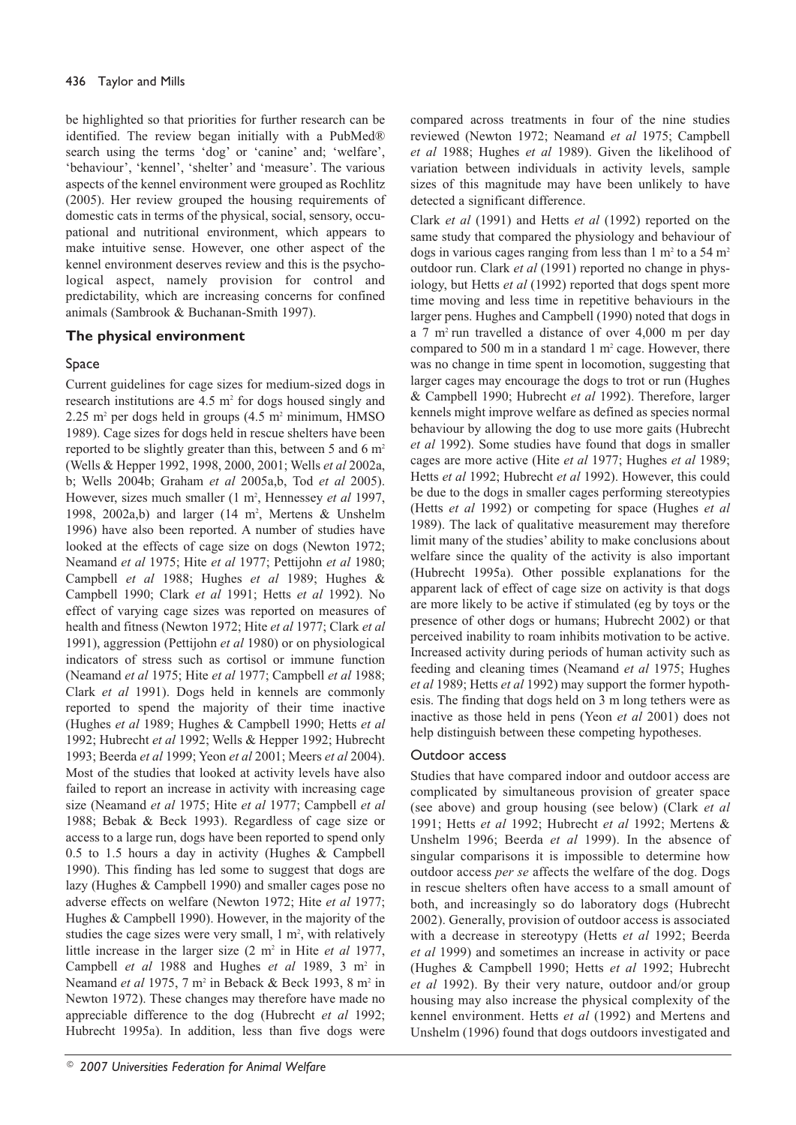be highlighted so that priorities for further research can be identified. The review began initially with a PubMed® search using the terms 'dog' or 'canine' and; 'welfare', 'behaviour', 'kennel', 'shelter' and 'measure'. The various aspects of the kennel environment were grouped as Rochlitz (2005). Her review grouped the housing requirements of domestic cats in terms of the physical, social, sensory, occupational and nutritional environment, which appears to make intuitive sense. However, one other aspect of the kennel environment deserves review and this is the psychological aspect, namely provision for control and predictability, which are increasing concerns for confined animals (Sambrook & Buchanan-Smith 1997).

# The physical environment

## Space

Current guidelines for cage sizes for medium-sized dogs in research institutions are 4.5 m<sup>2</sup> for dogs housed singly and 2.25 m<sup>2</sup> per dogs held in groups  $(4.5 \text{ m}^2 \text{ minimum}, \text{HMSO})$ 1989). Cage sizes for dogs held in rescue shelters have been reported to be slightly greater than this, between 5 and 6 m<sup>2</sup> (Wells & Hepper 1992, 1998, 2000, 2001; Wells et al 2002a, b; Wells 2004b; Graham et al 2005a,b, Tod et al 2005). However, sizes much smaller (1 m<sup>2</sup>, Hennessey et al 1997, 1998, 2002a,b) and larger (14 m<sup>2</sup>, Mertens & Unshelm 1996) have also been reported. A number of studies have looked at the effects of cage size on dogs (Newton 1972; Neamand et al 1975; Hite et al 1977; Pettijohn et al 1980; Campbell et al 1988; Hughes et al 1989; Hughes & Campbell 1990; Clark et al 1991; Hetts et al 1992). No effect of varying cage sizes was reported on measures of health and fitness (Newton 1972; Hite et al 1977; Clark et al 1991), aggression (Pettijohn et al 1980) or on physiological indicators of stress such as cortisol or immune function (Neamand et al 1975; Hite et al 1977; Campbell et al 1988; Clark et al 1991). Dogs held in kennels are commonly reported to spend the majority of their time inactive (Hughes et al 1989; Hughes & Campbell 1990; Hetts et al 1992; Hubrecht et al 1992; Wells & Hepper 1992; Hubrecht 1993; Beerda et al 1999; Yeon et al 2001; Meers et al 2004). Most of the studies that looked at activity levels have also failed to report an increase in activity with increasing cage size (Neamand et al 1975; Hite et al 1977; Campbell et al 1988; Bebak & Beck 1993). Regardless of cage size or access to a large run, dogs have been reported to spend only  $0.5$  to 1.5 hours a day in activity (Hughes & Campbell 1990). This finding has led some to suggest that dogs are lazy (Hughes & Campbell 1990) and smaller cages pose no adverse effects on welfare (Newton 1972; Hite et al 1977; Hughes & Campbell 1990). However, in the majority of the studies the cage sizes were very small,  $1 \text{ m}^2$ , with relatively little increase in the larger size  $(2 \text{ m}^2 \text{ in Hite } et \text{ al } 1977)$ , Campbell et al 1988 and Hughes et al 1989, 3 m<sup>2</sup> in Neamand et al 1975, 7 m<sup>2</sup> in Beback & Beck 1993, 8 m<sup>2</sup> in Newton 1972). These changes may therefore have made no appreciable difference to the dog (Hubrecht et al 1992; Hubrecht 1995a). In addition, less than five dogs were

Clark et al (1991) and Hetts et al (1992) reported on the same study that compared the physiology and behaviour of dogs in various cages ranging from less than  $1 \text{ m}^2$  to a 54 m<sup>2</sup> outdoor run. Clark et al (1991) reported no change in physiology, but Hetts et al (1992) reported that dogs spent more time moving and less time in repetitive behaviours in the larger pens. Hughes and Campbell (1990) noted that dogs in a 7 m<sup>2</sup> run travelled a distance of over 4,000 m per day compared to 500 m in a standard  $1 \text{ m}^2$  cage. However, there was no change in time spent in locomotion, suggesting that larger cages may encourage the dogs to trot or run (Hughes & Campbell 1990; Hubrecht et al 1992). Therefore, larger kennels might improve welfare as defined as species normal behaviour by allowing the dog to use more gaits (Hubrecht et al 1992). Some studies have found that dogs in smaller cages are more active (Hite et al 1977; Hughes et al 1989; Hetts et al 1992; Hubrecht et al 1992). However, this could be due to the dogs in smaller cages performing stereotypies (Hetts et al 1992) or competing for space (Hughes et al 1989). The lack of qualitative measurement may therefore limit many of the studies' ability to make conclusions about welfare since the quality of the activity is also important (Hubrecht 1995a). Other possible explanations for the apparent lack of effect of cage size on activity is that dogs are more likely to be active if stimulated (eg by toys or the presence of other dogs or humans; Hubrecht 2002) or that perceived inability to roam inhibits motivation to be active. Increased activity during periods of human activity such as feeding and cleaning times (Neamand et al 1975; Hughes et al 1989; Hetts et al 1992) may support the former hypothesis. The finding that dogs held on 3 m long tethers were as inactive as those held in pens (Yeon et al 2001) does not help distinguish between these competing hypotheses.

## Outdoor access

Studies that have compared indoor and outdoor access are complicated by simultaneous provision of greater space (see above) and group housing (see below) (Clark et al 1991; Hetts et al 1992; Hubrecht et al 1992; Mertens & Unshelm 1996; Beerda et al 1999). In the absence of singular comparisons it is impossible to determine how outdoor access per se affects the welfare of the dog. Dogs in rescue shelters often have access to a small amount of both, and increasingly so do laboratory dogs (Hubrecht 2002). Generally, provision of outdoor access is associated with a decrease in stereotypy (Hetts et al 1992; Beerda *et al* 1999) and sometimes an increase in activity or pace (Hughes & Campbell 1990; Hetts et al 1992; Hubrecht et al 1992). By their very nature, outdoor and/or group housing may also increase the physical complexity of the kennel environment. Hetts et al (1992) and Mertens and Unshelm (1996) found that dogs outdoors investigated and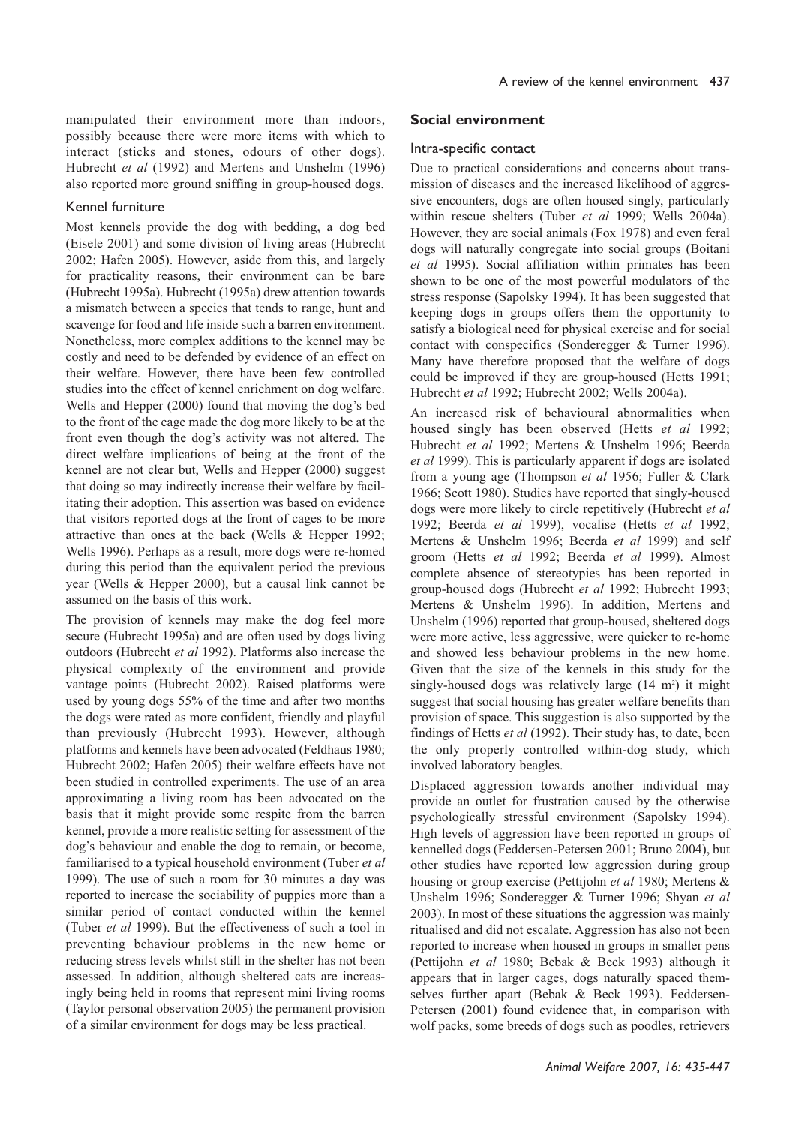manipulated their environment more than indoors, possibly because there were more items with which to interact (sticks and stones, odours of other dogs). Hubrecht et al (1992) and Mertens and Unshelm (1996) also reported more ground sniffing in group-housed dogs.

#### Kennel furniture

Most kennels provide the dog with bedding, a dog bed (Eisele 2001) and some division of living areas (Hubrecht 2002; Hafen 2005). However, aside from this, and largely for practicality reasons, their environment can be bare (Hubrecht 1995a). Hubrecht (1995a) drew attention towards a mismatch between a species that tends to range, hunt and scavenge for food and life inside such a barren environment. Nonetheless, more complex additions to the kennel may be costly and need to be defended by evidence of an effect on their welfare. However, there have been few controlled studies into the effect of kennel enrichment on dog welfare. Wells and Hepper (2000) found that moving the dog's bed to the front of the cage made the dog more likely to be at the front even though the dog's activity was not altered. The direct welfare implications of being at the front of the kennel are not clear but, Wells and Hepper (2000) suggest that doing so may indirectly increase their welfare by facilitating their adoption. This assertion was based on evidence that visitors reported dogs at the front of cages to be more attractive than ones at the back (Wells & Hepper 1992; Wells 1996). Perhaps as a result, more dogs were re-homed during this period than the equivalent period the previous year (Wells & Hepper 2000), but a causal link cannot be assumed on the basis of this work.

The provision of kennels may make the dog feel more secure (Hubrecht 1995a) and are often used by dogs living outdoors (Hubrecht et al 1992). Platforms also increase the physical complexity of the environment and provide vantage points (Hubrecht 2002). Raised platforms were used by young dogs 55% of the time and after two months the dogs were rated as more confident, friendly and playful than previously (Hubrecht 1993). However, although platforms and kennels have been advocated (Feldhaus 1980; Hubrecht 2002; Hafen 2005) their welfare effects have not been studied in controlled experiments. The use of an area approximating a living room has been advocated on the basis that it might provide some respite from the barren kennel, provide a more realistic setting for assessment of the dog's behaviour and enable the dog to remain, or become, familiarised to a typical household environment (Tuber et al 1999). The use of such a room for 30 minutes a day was reported to increase the sociability of puppies more than a similar period of contact conducted within the kennel (Tuber et al 1999). But the effectiveness of such a tool in preventing behaviour problems in the new home or reducing stress levels whilst still in the shelter has not been assessed. In addition, although sheltered cats are increasingly being held in rooms that represent mini living rooms (Taylor personal observation 2005) the permanent provision of a similar environment for dogs may be less practical.

## Social environment

#### Intra-specific contact

Due to practical considerations and concerns about transmission of diseases and the increased likelihood of aggressive encounters, dogs are often housed singly, particularly within rescue shelters (Tuber et al 1999; Wells 2004a). However, they are social animals (Fox 1978) and even feral dogs will naturally congregate into social groups (Boitani et al 1995). Social affiliation within primates has been shown to be one of the most powerful modulators of the stress response (Sapolsky 1994). It has been suggested that keeping dogs in groups offers them the opportunity to satisfy a biological need for physical exercise and for social contact with conspecifics (Sonderegger & Turner 1996). Many have therefore proposed that the welfare of dogs could be improved if they are group-housed (Hetts 1991; Hubrecht et al 1992; Hubrecht 2002; Wells 2004a).

An increased risk of behavioural abnormalities when housed singly has been observed (Hetts et al 1992; Hubrecht et al 1992; Mertens & Unshelm 1996; Beerda et al 1999). This is particularly apparent if dogs are isolated from a young age (Thompson et al 1956; Fuller & Clark 1966; Scott 1980). Studies have reported that singly-housed dogs were more likely to circle repetitively (Hubrecht et al 1992; Beerda et al 1999), vocalise (Hetts et al 1992; Mertens & Unshelm 1996; Beerda et al 1999) and self groom (Hetts et al 1992; Beerda et al 1999). Almost complete absence of stereotypies has been reported in group-housed dogs (Hubrecht et al 1992; Hubrecht 1993; Mertens & Unshelm 1996). In addition, Mertens and Unshelm (1996) reported that group-housed, sheltered dogs were more active, less aggressive, were quicker to re-home and showed less behaviour problems in the new home. Given that the size of the kennels in this study for the singly-housed dogs was relatively large (14 m<sup>2</sup>) it might suggest that social housing has greater welfare benefits than provision of space. This suggestion is also supported by the findings of Hetts et al (1992). Their study has, to date, been the only properly controlled within-dog study, which involved laboratory beagles.

Displaced aggression towards another individual may provide an outlet for frustration caused by the otherwise psychologically stressful environment (Sapolsky 1994). High levels of aggression have been reported in groups of kennelled dogs (Feddersen-Petersen 2001; Bruno 2004), but other studies have reported low aggression during group housing or group exercise (Pettijohn et al 1980; Mertens & Unshelm 1996; Sonderegger & Turner 1996; Shyan et al 2003). In most of these situations the aggression was mainly ritualised and did not escalate. Aggression has also not been reported to increase when housed in groups in smaller pens (Pettijohn et al 1980; Bebak & Beck 1993) although it appears that in larger cages, dogs naturally spaced themselves further apart (Bebak & Beck 1993). Feddersen-Petersen (2001) found evidence that, in comparison with wolf packs, some breeds of dogs such as poodles, retrievers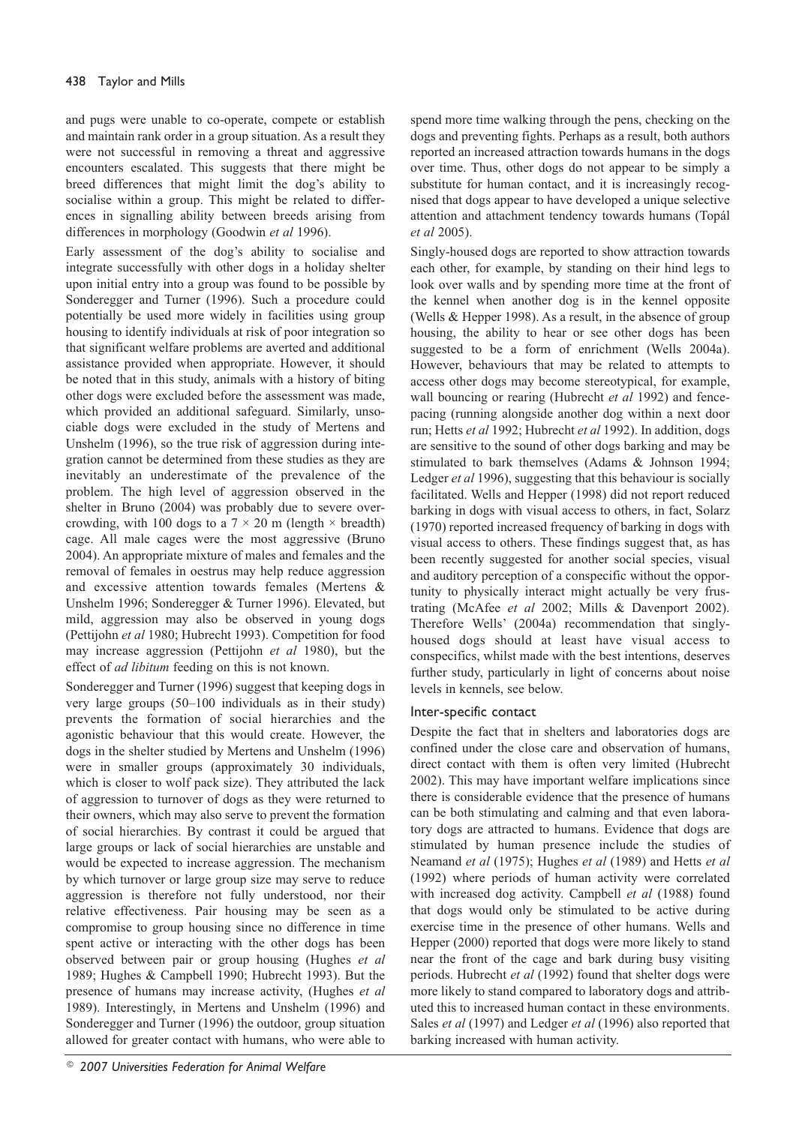and pugs were unable to co-operate, compete or establish and maintain rank order in a group situation. As a result they were not successful in removing a threat and aggressive encounters escalated. This suggests that there might be breed differences that might limit the dog's ability to socialise within a group. This might be related to differences in signalling ability between breeds arising from differences in morphology (Goodwin et al 1996).

Early assessment of the dog's ability to socialise and integrate successfully with other dogs in a holiday shelter upon initial entry into a group was found to be possible by Sonderegger and Turner (1996). Such a procedure could potentially be used more widely in facilities using group housing to identify individuals at risk of poor integration so that significant welfare problems are averted and additional assistance provided when appropriate. However, it should be noted that in this study, animals with a history of biting other dogs were excluded before the assessment was made, which provided an additional safeguard. Similarly, unsociable dogs were excluded in the study of Mertens and Unshelm (1996), so the true risk of aggression during integration cannot be determined from these studies as they are inevitably an underestimate of the prevalence of the problem. The high level of aggression observed in the shelter in Bruno (2004) was probably due to severe overcrowding, with 100 dogs to a  $7 \times 20$  m (length  $\times$  breadth) cage. All male cages were the most aggressive (Bruno 2004). An appropriate mixture of males and females and the removal of females in oestrus may help reduce aggression and excessive attention towards females (Mertens & Unshelm 1996; Sonderegger & Turner 1996). Elevated, but mild, aggression may also be observed in young dogs (Pettijohn et al 1980; Hubrecht 1993). Competition for food may increase aggression (Pettijohn et al 1980), but the effect of *ad libitum* feeding on this is not known.

Sonderegger and Turner (1996) suggest that keeping dogs in very large groups  $(50-100$  individuals as in their study) prevents the formation of social hierarchies and the agonistic behaviour that this would create. However, the dogs in the shelter studied by Mertens and Unshelm (1996) were in smaller groups (approximately 30 individuals, which is closer to wolf pack size). They attributed the lack of aggression to turnover of dogs as they were returned to their owners, which may also serve to prevent the formation of social hierarchies. By contrast it could be argued that large groups or lack of social hierarchies are unstable and would be expected to increase aggression. The mechanism by which turnover or large group size may serve to reduce aggression is therefore not fully understood, nor their relative effectiveness. Pair housing may be seen as a compromise to group housing since no difference in time spent active or interacting with the other dogs has been observed between pair or group housing (Hughes et al 1989; Hughes & Campbell 1990; Hubrecht 1993). But the presence of humans may increase activity, (Hughes et al 1989). Interestingly, in Mertens and Unshelm (1996) and Sonderegger and Turner (1996) the outdoor, group situation allowed for greater contact with humans, who were able to

spend more time walking through the pens, checking on the dogs and preventing fights. Perhaps as a result, both authors reported an increased attraction towards humans in the dogs over time. Thus, other dogs do not appear to be simply a substitute for human contact, and it is increasingly recognised that dogs appear to have developed a unique selective attention and attachment tendency towards humans (Topál et al 2005).

Singly-housed dogs are reported to show attraction towards each other, for example, by standing on their hind legs to look over walls and by spending more time at the front of the kennel when another dog is in the kennel opposite (Wells & Hepper 1998). As a result, in the absence of group housing, the ability to hear or see other dogs has been suggested to be a form of enrichment (Wells 2004a). However, behaviours that may be related to attempts to access other dogs may become stereotypical, for example, wall bouncing or rearing (Hubrecht et al 1992) and fencepacing (running alongside another dog within a next door run; Hetts et al 1992; Hubrecht et al 1992). In addition, dogs are sensitive to the sound of other dogs barking and may be stimulated to bark themselves (Adams & Johnson 1994; Ledger et al 1996), suggesting that this behaviour is socially facilitated. Wells and Hepper (1998) did not report reduced barking in dogs with visual access to others, in fact, Solarz (1970) reported increased frequency of barking in dogs with visual access to others. These findings suggest that, as has been recently suggested for another social species, visual and auditory perception of a conspecific without the opportunity to physically interact might actually be very frustrating (McAfee et al 2002; Mills & Davenport 2002). Therefore Wells' (2004a) recommendation that singlyhoused dogs should at least have visual access to conspecifics, whilst made with the best intentions, deserves further study, particularly in light of concerns about noise levels in kennels, see below.

## Inter-specific contact

Despite the fact that in shelters and laboratories dogs are confined under the close care and observation of humans, direct contact with them is often very limited (Hubrecht 2002). This may have important welfare implications since there is considerable evidence that the presence of humans can be both stimulating and calming and that even laboratory dogs are attracted to humans. Evidence that dogs are stimulated by human presence include the studies of Neamand et al (1975); Hughes et al (1989) and Hetts et al (1992) where periods of human activity were correlated with increased dog activity. Campbell et al (1988) found that dogs would only be stimulated to be active during exercise time in the presence of other humans. Wells and Hepper (2000) reported that dogs were more likely to stand near the front of the cage and bark during busy visiting periods. Hubrecht et al (1992) found that shelter dogs were more likely to stand compared to laboratory dogs and attributed this to increased human contact in these environments. Sales et al (1997) and Ledger et al (1996) also reported that barking increased with human activity.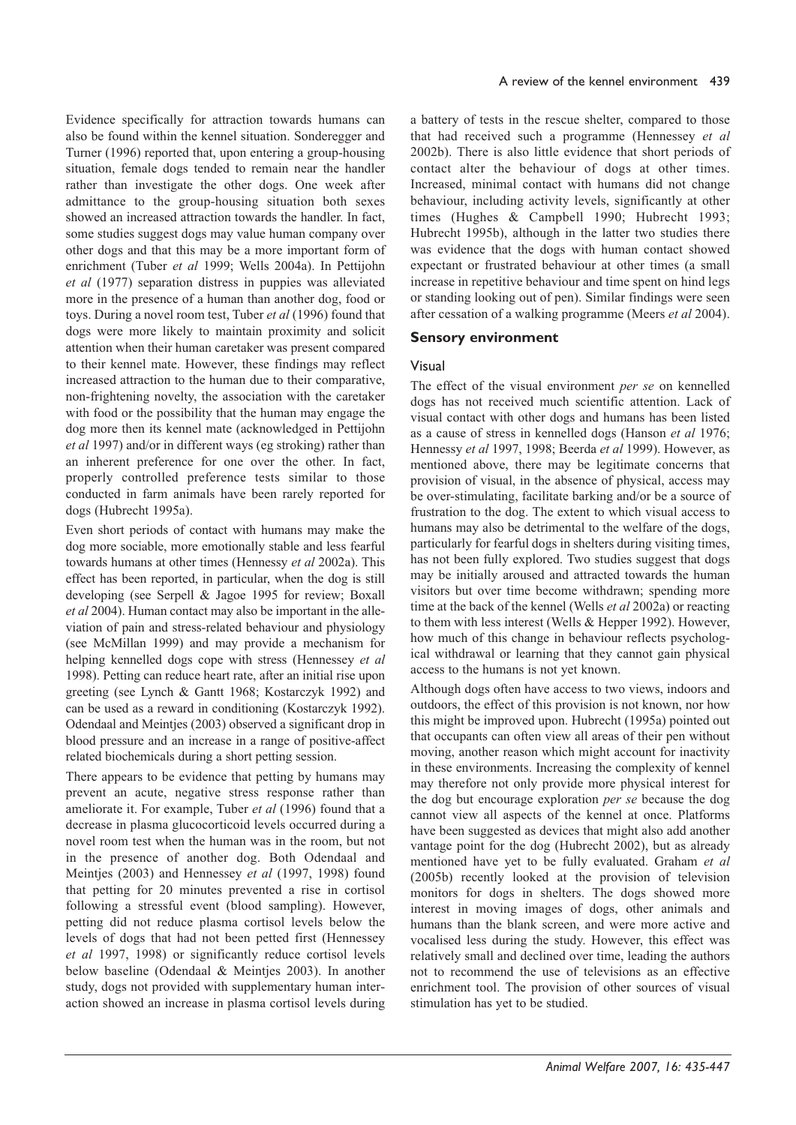Evidence specifically for attraction towards humans can also be found within the kennel situation. Sonderegger and Turner (1996) reported that, upon entering a group-housing situation, female dogs tended to remain near the handler rather than investigate the other dogs. One week after admittance to the group-housing situation both sexes showed an increased attraction towards the handler. In fact, some studies suggest dogs may value human company over other dogs and that this may be a more important form of enrichment (Tuber et al 1999; Wells 2004a). In Pettijohn et al (1977) separation distress in puppies was alleviated more in the presence of a human than another dog, food or toys. During a novel room test, Tuber et al (1996) found that dogs were more likely to maintain proximity and solicit attention when their human caretaker was present compared to their kennel mate. However, these findings may reflect increased attraction to the human due to their comparative, non-frightening novelty, the association with the caretaker with food or the possibility that the human may engage the dog more then its kennel mate (acknowledged in Pettijohn et al 1997) and/or in different ways (eg stroking) rather than an inherent preference for one over the other. In fact, properly controlled preference tests similar to those conducted in farm animals have been rarely reported for dogs (Hubrecht 1995a).

Even short periods of contact with humans may make the dog more sociable, more emotionally stable and less fearful towards humans at other times (Hennessy et al 2002a). This effect has been reported, in particular, when the dog is still developing (see Serpell & Jagoe 1995 for review; Boxall et al 2004). Human contact may also be important in the alleviation of pain and stress-related behaviour and physiology (see McMillan 1999) and may provide a mechanism for helping kennelled dogs cope with stress (Hennessey et al 1998). Petting can reduce heart rate, after an initial rise upon greeting (see Lynch & Gantt 1968; Kostarczyk 1992) and can be used as a reward in conditioning (Kostarczyk 1992). Odendaal and Meintjes (2003) observed a significant drop in blood pressure and an increase in a range of positive-affect related biochemicals during a short petting session.

There appears to be evidence that petting by humans may prevent an acute, negative stress response rather than ameliorate it. For example, Tuber et al (1996) found that a decrease in plasma glucocorticoid levels occurred during a novel room test when the human was in the room, but not in the presence of another dog. Both Odendaal and Meintjes (2003) and Hennessey et al (1997, 1998) found that petting for 20 minutes prevented a rise in cortisol following a stressful event (blood sampling). However, petting did not reduce plasma cortisol levels below the levels of dogs that had not been petted first (Hennessey et al 1997, 1998) or significantly reduce cortisol levels below baseline (Odendaal & Meintjes 2003). In another study, dogs not provided with supplementary human interaction showed an increase in plasma cortisol levels during a battery of tests in the rescue shelter, compared to those that had received such a programme (Hennessey et al 2002b). There is also little evidence that short periods of contact alter the behaviour of dogs at other times. Increased, minimal contact with humans did not change behaviour, including activity levels, significantly at other times (Hughes & Campbell 1990; Hubrecht 1993; Hubrecht 1995b), although in the latter two studies there was evidence that the dogs with human contact showed expectant or frustrated behaviour at other times (a small increase in repetitive behaviour and time spent on hind legs or standing looking out of pen). Similar findings were seen after cessation of a walking programme (Meers *et al* 2004).

#### **Sensory environment**

#### Visual

The effect of the visual environment per se on kennelled dogs has not received much scientific attention. Lack of visual contact with other dogs and humans has been listed as a cause of stress in kennelled dogs (Hanson et al 1976; Hennessy et al 1997, 1998; Beerda et al 1999). However, as mentioned above, there may be legitimate concerns that provision of visual, in the absence of physical, access may be over-stimulating, facilitate barking and/or be a source of frustration to the dog. The extent to which visual access to humans may also be detrimental to the welfare of the dogs, particularly for fearful dogs in shelters during visiting times, has not been fully explored. Two studies suggest that dogs may be initially aroused and attracted towards the human visitors but over time become withdrawn; spending more time at the back of the kennel (Wells et al 2002a) or reacting to them with less interest (Wells & Hepper 1992). However, how much of this change in behaviour reflects psychological withdrawal or learning that they cannot gain physical access to the humans is not yet known.

Although dogs often have access to two views, indoors and outdoors, the effect of this provision is not known, nor how this might be improved upon. Hubrecht (1995a) pointed out that occupants can often view all areas of their pen without moving, another reason which might account for inactivity in these environments. Increasing the complexity of kennel may therefore not only provide more physical interest for the dog but encourage exploration *per se* because the dog cannot view all aspects of the kennel at once. Platforms have been suggested as devices that might also add another vantage point for the dog (Hubrecht 2002), but as already mentioned have yet to be fully evaluated. Graham et al (2005b) recently looked at the provision of television monitors for dogs in shelters. The dogs showed more interest in moving images of dogs, other animals and humans than the blank screen, and were more active and vocalised less during the study. However, this effect was relatively small and declined over time, leading the authors not to recommend the use of televisions as an effective enrichment tool. The provision of other sources of visual stimulation has yet to be studied.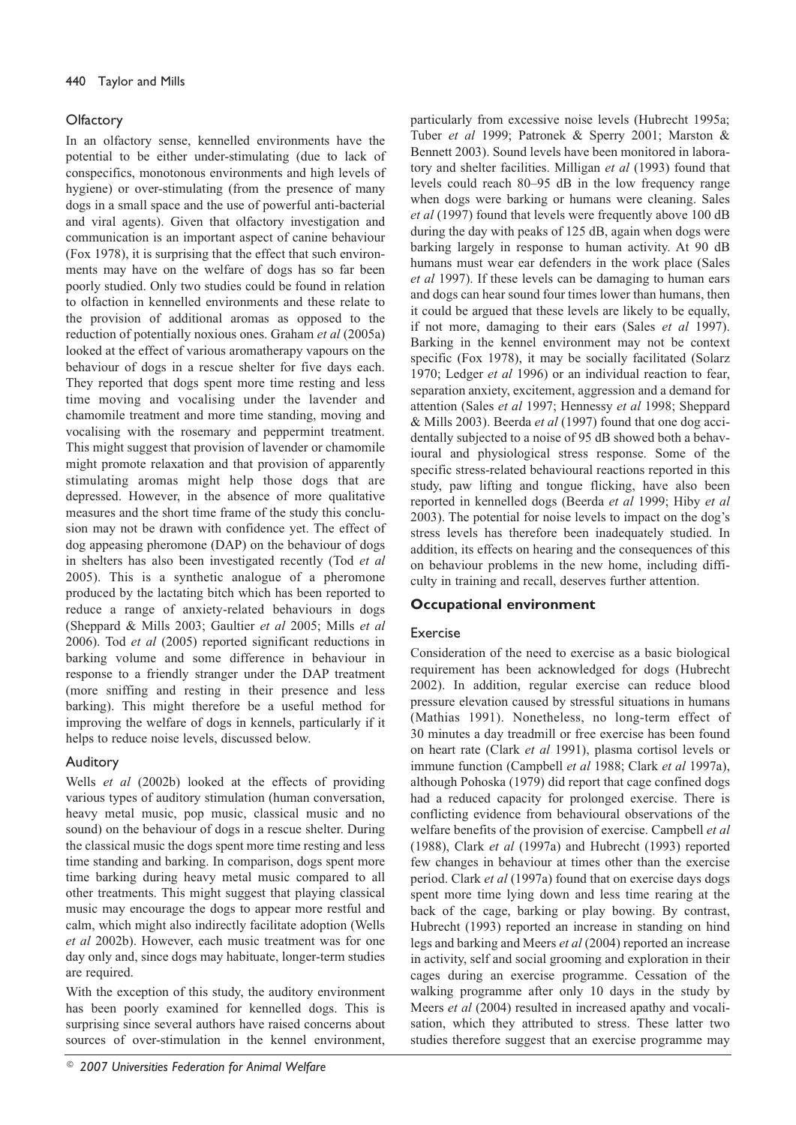#### Olfactory

In an olfactory sense, kennelled environments have the potential to be either under-stimulating (due to lack of conspecifics, monotonous environments and high levels of hygiene) or over-stimulating (from the presence of many dogs in a small space and the use of powerful anti-bacterial and viral agents). Given that olfactory investigation and communication is an important aspect of canine behaviour (Fox 1978), it is surprising that the effect that such environments may have on the welfare of dogs has so far been poorly studied. Only two studies could be found in relation to olfaction in kennelled environments and these relate to the provision of additional aromas as opposed to the reduction of potentially noxious ones. Graham et al (2005a) looked at the effect of various aromatherapy vapours on the behaviour of dogs in a rescue shelter for five days each. They reported that dogs spent more time resting and less time moving and vocalising under the lavender and chamomile treatment and more time standing, moving and vocalising with the rosemary and peppermint treatment. This might suggest that provision of lavender or chamomile might promote relaxation and that provision of apparently stimulating aromas might help those dogs that are depressed. However, in the absence of more qualitative measures and the short time frame of the study this conclusion may not be drawn with confidence yet. The effect of dog appeasing pheromone (DAP) on the behaviour of dogs in shelters has also been investigated recently (Tod et al 2005). This is a synthetic analogue of a pheromone produced by the lactating bitch which has been reported to reduce a range of anxiety-related behaviours in dogs (Sheppard & Mills 2003; Gaultier et al 2005; Mills et al 2006). Tod et al (2005) reported significant reductions in barking volume and some difference in behaviour in response to a friendly stranger under the DAP treatment (more sniffing and resting in their presence and less barking). This might therefore be a useful method for improving the welfare of dogs in kennels, particularly if it helps to reduce noise levels, discussed below.

## Auditory

Wells et al (2002b) looked at the effects of providing various types of auditory stimulation (human conversation, heavy metal music, pop music, classical music and no sound) on the behaviour of dogs in a rescue shelter. During the classical music the dogs spent more time resting and less time standing and barking. In comparison, dogs spent more time barking during heavy metal music compared to all other treatments. This might suggest that playing classical music may encourage the dogs to appear more restful and calm, which might also indirectly facilitate adoption (Wells et al 2002b). However, each music treatment was for one day only and, since dogs may habituate, longer-term studies are required.

With the exception of this study, the auditory environment has been poorly examined for kennelled dogs. This is surprising since several authors have raised concerns about sources of over-stimulation in the kennel environment,

particularly from excessive noise levels (Hubrecht 1995a; Tuber et al 1999; Patronek & Sperry 2001; Marston & Bennett 2003). Sound levels have been monitored in laboratory and shelter facilities. Milligan et al (1993) found that levels could reach 80–95 dB in the low frequency range when dogs were barking or humans were cleaning. Sales et al (1997) found that levels were frequently above 100 dB during the day with peaks of 125 dB, again when dogs were barking largely in response to human activity. At 90 dB humans must wear ear defenders in the work place (Sales et al 1997). If these levels can be damaging to human ears and dogs can hear sound four times lower than humans, then it could be argued that these levels are likely to be equally, if not more, damaging to their ears (Sales et al 1997). Barking in the kennel environment may not be context specific (Fox 1978), it may be socially facilitated (Solarz 1970; Ledger et al 1996) or an individual reaction to fear, separation anxiety, excitement, aggression and a demand for attention (Sales et al 1997; Hennessy et al 1998; Sheppard & Mills 2003). Beerda et al (1997) found that one dog accidentally subjected to a noise of 95 dB showed both a behavioural and physiological stress response. Some of the specific stress-related behavioural reactions reported in this study, paw lifting and tongue flicking, have also been reported in kennelled dogs (Beerda et al 1999; Hiby et al 2003). The potential for noise levels to impact on the dog's stress levels has therefore been inadequately studied. In addition, its effects on hearing and the consequences of this on behaviour problems in the new home, including difficulty in training and recall, deserves further attention.

## **Occupational environment**

## Exercise

Consideration of the need to exercise as a basic biological requirement has been acknowledged for dogs (Hubrecht 2002). In addition, regular exercise can reduce blood pressure elevation caused by stressful situations in humans (Mathias 1991). Nonetheless, no long-term effect of 30 minutes a day treadmill or free exercise has been found on heart rate (Clark et al 1991), plasma cortisol levels or immune function (Campbell et al 1988; Clark et al 1997a), although Pohoska (1979) did report that cage confined dogs had a reduced capacity for prolonged exercise. There is conflicting evidence from behavioural observations of the welfare benefits of the provision of exercise. Campbell et al. (1988), Clark et al (1997a) and Hubrecht (1993) reported few changes in behaviour at times other than the exercise period. Clark et al (1997a) found that on exercise days dogs spent more time lying down and less time rearing at the back of the cage, barking or play bowing. By contrast, Hubrecht (1993) reported an increase in standing on hind legs and barking and Meers et al (2004) reported an increase in activity, self and social grooming and exploration in their cages during an exercise programme. Cessation of the walking programme after only 10 days in the study by Meers et al (2004) resulted in increased apathy and vocalisation, which they attributed to stress. These latter two studies therefore suggest that an exercise programme may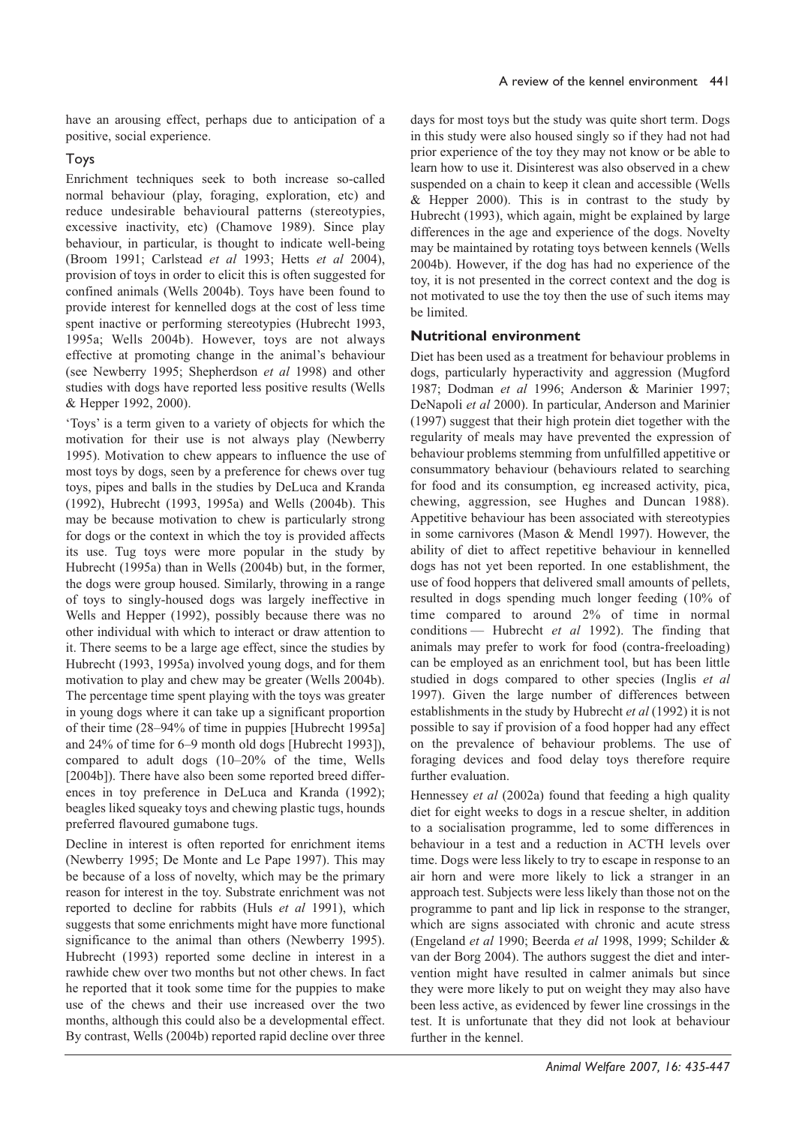have an arousing effect, perhaps due to anticipation of a positive, social experience.

#### Toys

Enrichment techniques seek to both increase so-called normal behaviour (play, foraging, exploration, etc) and reduce undesirable behavioural patterns (stereotypies, excessive inactivity, etc) (Chamove 1989). Since play behaviour, in particular, is thought to indicate well-being (Broom 1991; Carlstead et al 1993; Hetts et al 2004), provision of toys in order to elicit this is often suggested for confined animals (Wells 2004b). Toys have been found to provide interest for kennelled dogs at the cost of less time spent inactive or performing stereotypies (Hubrecht 1993, 1995a; Wells 2004b). However, toys are not always effective at promoting change in the animal's behaviour (see Newberry 1995; Shepherdson et al 1998) and other studies with dogs have reported less positive results (Wells & Hepper 1992, 2000).

'Toys' is a term given to a variety of objects for which the motivation for their use is not always play (Newberry 1995). Motivation to chew appears to influence the use of most toys by dogs, seen by a preference for chews over tug toys, pipes and balls in the studies by DeLuca and Kranda (1992), Hubrecht (1993, 1995a) and Wells (2004b). This may be because motivation to chew is particularly strong for dogs or the context in which the toy is provided affects its use. Tug toys were more popular in the study by Hubrecht (1995a) than in Wells (2004b) but, in the former, the dogs were group housed. Similarly, throwing in a range of toys to singly-housed dogs was largely ineffective in Wells and Hepper (1992), possibly because there was no other individual with which to interact or draw attention to it. There seems to be a large age effect, since the studies by Hubrecht (1993, 1995a) involved young dogs, and for them motivation to play and chew may be greater (Wells 2004b). The percentage time spent playing with the toys was greater in young dogs where it can take up a significant proportion of their time (28–94% of time in puppies [Hubrecht 1995a] and 24% of time for 6–9 month old dogs [Hubrecht 1993]), compared to adult dogs (10-20% of the time, Wells [2004b]). There have also been some reported breed differences in toy preference in DeLuca and Kranda (1992); beagles liked squeaky toys and chewing plastic tugs, hounds preferred flavoured gumabone tugs.

Decline in interest is often reported for enrichment items (Newberry 1995; De Monte and Le Pape 1997). This may be because of a loss of novelty, which may be the primary reason for interest in the toy. Substrate enrichment was not reported to decline for rabbits (Huls et al 1991), which suggests that some enrichments might have more functional significance to the animal than others (Newberry 1995). Hubrecht (1993) reported some decline in interest in a rawhide chew over two months but not other chews. In fact he reported that it took some time for the puppies to make use of the chews and their use increased over the two months, although this could also be a developmental effect. By contrast, Wells (2004b) reported rapid decline over three

days for most toys but the study was quite short term. Dogs in this study were also housed singly so if they had not had prior experience of the toy they may not know or be able to learn how to use it. Disinterest was also observed in a chew suspended on a chain to keep it clean and accessible (Wells & Hepper 2000). This is in contrast to the study by Hubrecht (1993), which again, might be explained by large differences in the age and experience of the dogs. Novelty may be maintained by rotating toys between kennels (Wells 2004b). However, if the dog has had no experience of the toy, it is not presented in the correct context and the dog is not motivated to use the toy then the use of such items may be limited.

# **Nutritional environment**

Diet has been used as a treatment for behaviour problems in dogs, particularly hyperactivity and aggression (Mugford 1987; Dodman et al 1996; Anderson & Marinier 1997; DeNapoli et al 2000). In particular, Anderson and Marinier (1997) suggest that their high protein diet together with the regularity of meals may have prevented the expression of behaviour problems stemming from unfulfilled appetitive or consummatory behaviour (behaviours related to searching for food and its consumption, eg increased activity, pica, chewing, aggression, see Hughes and Duncan 1988). Appetitive behaviour has been associated with stereotypies in some carnivores (Mason & Mendl 1997). However, the ability of diet to affect repetitive behaviour in kennelled dogs has not yet been reported. In one establishment, the use of food hoppers that delivered small amounts of pellets, resulted in dogs spending much longer feeding (10% of time compared to around 2% of time in normal conditions - Hubrecht et al 1992). The finding that animals may prefer to work for food (contra-freeloading) can be employed as an enrichment tool, but has been little studied in dogs compared to other species (Inglis et al. 1997). Given the large number of differences between establishments in the study by Hubrecht et al (1992) it is not possible to say if provision of a food hopper had any effect on the prevalence of behaviour problems. The use of foraging devices and food delay toys therefore require further evaluation.

Hennessey et al (2002a) found that feeding a high quality diet for eight weeks to dogs in a rescue shelter, in addition to a socialisation programme, led to some differences in behaviour in a test and a reduction in ACTH levels over time. Dogs were less likely to try to escape in response to an air horn and were more likely to lick a stranger in an approach test. Subjects were less likely than those not on the programme to pant and lip lick in response to the stranger, which are signs associated with chronic and acute stress (Engeland et al 1990; Beerda et al 1998, 1999; Schilder & van der Borg 2004). The authors suggest the diet and intervention might have resulted in calmer animals but since they were more likely to put on weight they may also have been less active, as evidenced by fewer line crossings in the test. It is unfortunate that they did not look at behaviour further in the kennel.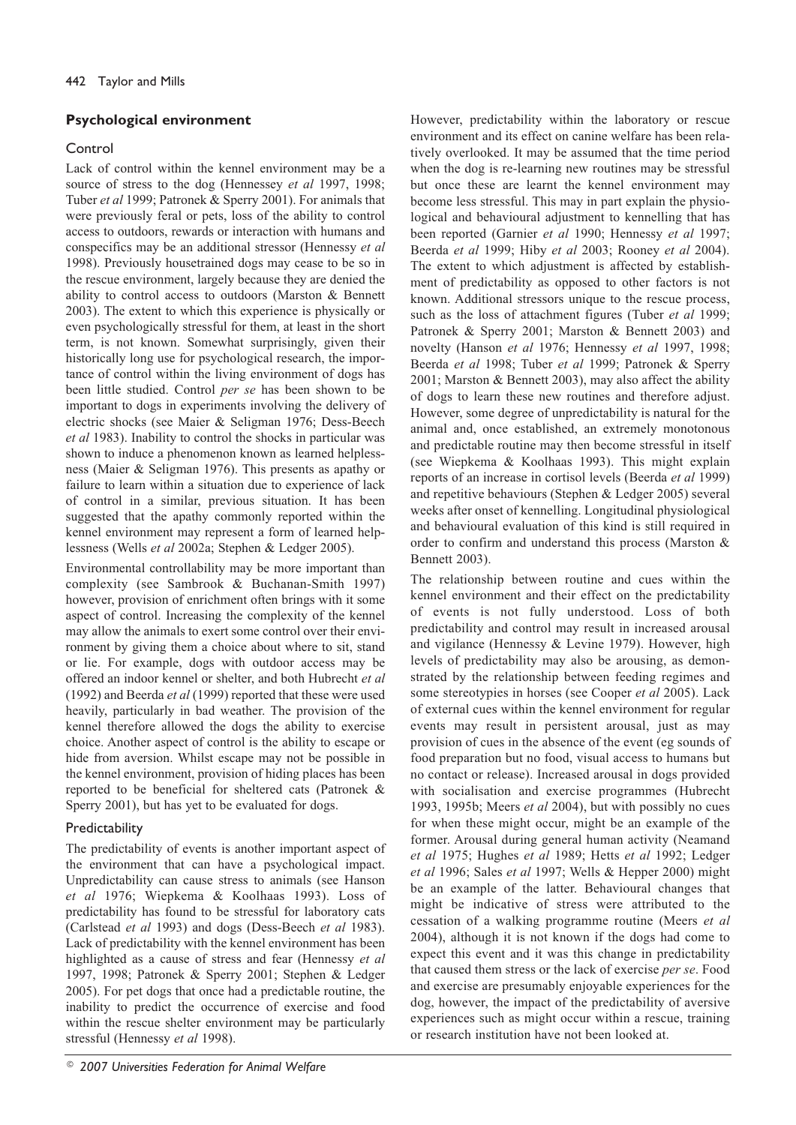# **Psychological environment**

# Control

Lack of control within the kennel environment may be a source of stress to the dog (Hennessey et al 1997, 1998; Tuber et al 1999; Patronek & Sperry 2001). For animals that were previously feral or pets, loss of the ability to control access to outdoors, rewards or interaction with humans and conspecifics may be an additional stressor (Hennessy et al. 1998). Previously housetrained dogs may cease to be so in the rescue environment, largely because they are denied the ability to control access to outdoors (Marston & Bennett 2003). The extent to which this experience is physically or even psychologically stressful for them, at least in the short term, is not known. Somewhat surprisingly, given their historically long use for psychological research, the importance of control within the living environment of dogs has been little studied. Control per se has been shown to be important to dogs in experiments involving the delivery of electric shocks (see Maier & Seligman 1976; Dess-Beech et al 1983). Inability to control the shocks in particular was shown to induce a phenomenon known as learned helplessness (Maier & Seligman 1976). This presents as apathy or failure to learn within a situation due to experience of lack of control in a similar, previous situation. It has been suggested that the apathy commonly reported within the kennel environment may represent a form of learned helplessness (Wells et al 2002a; Stephen & Ledger 2005).

Environmental controllability may be more important than complexity (see Sambrook & Buchanan-Smith 1997) however, provision of enrichment often brings with it some aspect of control. Increasing the complexity of the kennel may allow the animals to exert some control over their environment by giving them a choice about where to sit, stand or lie. For example, dogs with outdoor access may be offered an indoor kennel or shelter, and both Hubrecht et al (1992) and Beerda et al (1999) reported that these were used heavily, particularly in bad weather. The provision of the kennel therefore allowed the dogs the ability to exercise choice. Another aspect of control is the ability to escape or hide from aversion. Whilst escape may not be possible in the kennel environment, provision of hiding places has been reported to be beneficial for sheltered cats (Patronek & Sperry 2001), but has yet to be evaluated for dogs.

# Predictability

The predictability of events is another important aspect of the environment that can have a psychological impact. Unpredictability can cause stress to animals (see Hanson et al 1976; Wiepkema & Koolhaas 1993). Loss of predictability has found to be stressful for laboratory cats (Carlstead et al 1993) and dogs (Dess-Beech et al 1983). Lack of predictability with the kennel environment has been highlighted as a cause of stress and fear (Hennessy et al. 1997, 1998; Patronek & Sperry 2001; Stephen & Ledger 2005). For pet dogs that once had a predictable routine, the inability to predict the occurrence of exercise and food within the rescue shelter environment may be particularly stressful (Hennessy et al 1998).

However, predictability within the laboratory or rescue environment and its effect on canine welfare has been relatively overlooked. It may be assumed that the time period when the dog is re-learning new routines may be stressful but once these are learnt the kennel environment may become less stressful. This may in part explain the physiological and behavioural adjustment to kennelling that has been reported (Garnier et al 1990; Hennessy et al 1997; Beerda et al 1999; Hiby et al 2003; Rooney et al 2004). The extent to which adjustment is affected by establishment of predictability as opposed to other factors is not known. Additional stressors unique to the rescue process, such as the loss of attachment figures (Tuber et al 1999; Patronek & Sperry 2001; Marston & Bennett 2003) and novelty (Hanson et al 1976; Hennessy et al 1997, 1998; Beerda et al 1998; Tuber et al 1999; Patronek & Sperry 2001; Marston & Bennett 2003), may also affect the ability of dogs to learn these new routines and therefore adjust. However, some degree of unpredictability is natural for the animal and, once established, an extremely monotonous and predictable routine may then become stressful in itself (see Wiepkema & Koolhaas 1993). This might explain reports of an increase in cortisol levels (Beerda et al 1999) and repetitive behaviours (Stephen & Ledger 2005) several weeks after onset of kennelling. Longitudinal physiological and behavioural evaluation of this kind is still required in order to confirm and understand this process (Marston & Bennett 2003).

The relationship between routine and cues within the kennel environment and their effect on the predictability of events is not fully understood. Loss of both predictability and control may result in increased arousal and vigilance (Hennessy & Levine 1979). However, high levels of predictability may also be arousing, as demonstrated by the relationship between feeding regimes and some stereotypies in horses (see Cooper et al 2005). Lack of external cues within the kennel environment for regular events may result in persistent arousal, just as may provision of cues in the absence of the event (eg sounds of food preparation but no food, visual access to humans but no contact or release). Increased arousal in dogs provided with socialisation and exercise programmes (Hubrecht 1993, 1995b; Meers et al 2004), but with possibly no cues for when these might occur, might be an example of the former. Arousal during general human activity (Neamand et al 1975; Hughes et al 1989; Hetts et al 1992; Ledger et al 1996; Sales et al 1997; Wells & Hepper 2000) might be an example of the latter. Behavioural changes that might be indicative of stress were attributed to the cessation of a walking programme routine (Meers et al. 2004), although it is not known if the dogs had come to expect this event and it was this change in predictability that caused them stress or the lack of exercise per se. Food and exercise are presumably enjoyable experiences for the dog, however, the impact of the predictability of aversive experiences such as might occur within a rescue, training or research institution have not been looked at.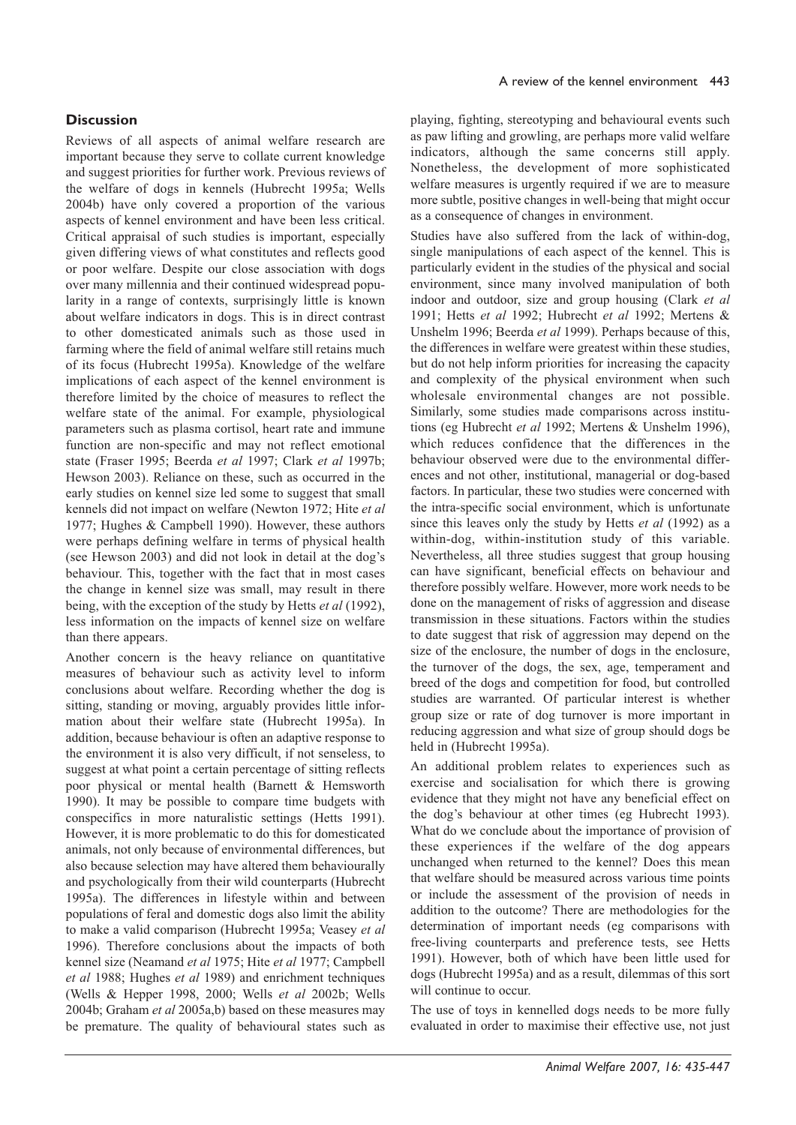#### **Discussion**

Reviews of all aspects of animal welfare research are important because they serve to collate current knowledge and suggest priorities for further work. Previous reviews of the welfare of dogs in kennels (Hubrecht 1995a; Wells 2004b) have only covered a proportion of the various aspects of kennel environment and have been less critical. Critical appraisal of such studies is important, especially given differing views of what constitutes and reflects good or poor welfare. Despite our close association with dogs over many millennia and their continued widespread popularity in a range of contexts, surprisingly little is known about welfare indicators in dogs. This is in direct contrast to other domesticated animals such as those used in farming where the field of animal welfare still retains much of its focus (Hubrecht 1995a). Knowledge of the welfare implications of each aspect of the kennel environment is therefore limited by the choice of measures to reflect the welfare state of the animal. For example, physiological parameters such as plasma cortisol, heart rate and immune function are non-specific and may not reflect emotional state (Fraser 1995; Beerda et al 1997; Clark et al 1997b; Hewson 2003). Reliance on these, such as occurred in the early studies on kennel size led some to suggest that small kennels did not impact on welfare (Newton 1972; Hite et al. 1977; Hughes & Campbell 1990). However, these authors were perhaps defining welfare in terms of physical health (see Hewson 2003) and did not look in detail at the dog's behaviour. This, together with the fact that in most cases the change in kennel size was small, may result in there being, with the exception of the study by Hetts *et al* (1992), less information on the impacts of kennel size on welfare than there appears.

Another concern is the heavy reliance on quantitative measures of behaviour such as activity level to inform conclusions about welfare. Recording whether the dog is sitting, standing or moving, arguably provides little information about their welfare state (Hubrecht 1995a). In addition, because behaviour is often an adaptive response to the environment it is also very difficult, if not senseless, to suggest at what point a certain percentage of sitting reflects poor physical or mental health (Barnett & Hemsworth 1990). It may be possible to compare time budgets with conspecifics in more naturalistic settings (Hetts 1991). However, it is more problematic to do this for domesticated animals, not only because of environmental differences, but also because selection may have altered them behaviourally and psychologically from their wild counterparts (Hubrecht 1995a). The differences in lifestyle within and between populations of feral and domestic dogs also limit the ability to make a valid comparison (Hubrecht 1995a; Veasey et al 1996). Therefore conclusions about the impacts of both kennel size (Neamand et al 1975; Hite et al 1977; Campbell et al 1988; Hughes et al 1989) and enrichment techniques (Wells & Hepper 1998, 2000; Wells et al 2002b; Wells 2004b; Graham et al 2005a,b) based on these measures may be premature. The quality of behavioural states such as

playing, fighting, stereotyping and behavioural events such as paw lifting and growling, are perhaps more valid welfare indicators, although the same concerns still apply. Nonetheless, the development of more sophisticated welfare measures is urgently required if we are to measure more subtle, positive changes in well-being that might occur as a consequence of changes in environment.

Studies have also suffered from the lack of within-dog, single manipulations of each aspect of the kennel. This is particularly evident in the studies of the physical and social environment, since many involved manipulation of both indoor and outdoor, size and group housing (Clark et al 1991; Hetts et al 1992; Hubrecht et al 1992; Mertens & Unshelm 1996; Beerda et al 1999). Perhaps because of this, the differences in welfare were greatest within these studies, but do not help inform priorities for increasing the capacity and complexity of the physical environment when such wholesale environmental changes are not possible. Similarly, some studies made comparisons across institutions (eg Hubrecht et al 1992; Mertens & Unshelm 1996), which reduces confidence that the differences in the behaviour observed were due to the environmental differences and not other, institutional, managerial or dog-based factors. In particular, these two studies were concerned with the intra-specific social environment, which is unfortunate since this leaves only the study by Hetts et al (1992) as a within-dog, within-institution study of this variable. Nevertheless, all three studies suggest that group housing can have significant, beneficial effects on behaviour and therefore possibly welfare. However, more work needs to be done on the management of risks of aggression and disease transmission in these situations. Factors within the studies to date suggest that risk of aggression may depend on the size of the enclosure, the number of dogs in the enclosure, the turnover of the dogs, the sex, age, temperament and breed of the dogs and competition for food, but controlled studies are warranted. Of particular interest is whether group size or rate of dog turnover is more important in reducing aggression and what size of group should dogs be held in (Hubrecht 1995a).

An additional problem relates to experiences such as exercise and socialisation for which there is growing evidence that they might not have any beneficial effect on the dog's behaviour at other times (eg Hubrecht 1993). What do we conclude about the importance of provision of these experiences if the welfare of the dog appears unchanged when returned to the kennel? Does this mean that welfare should be measured across various time points or include the assessment of the provision of needs in addition to the outcome? There are methodologies for the determination of important needs (eg comparisons with free-living counterparts and preference tests, see Hetts 1991). However, both of which have been little used for dogs (Hubrecht 1995a) and as a result, dilemmas of this sort will continue to occur.

The use of toys in kennelled dogs needs to be more fully evaluated in order to maximise their effective use, not just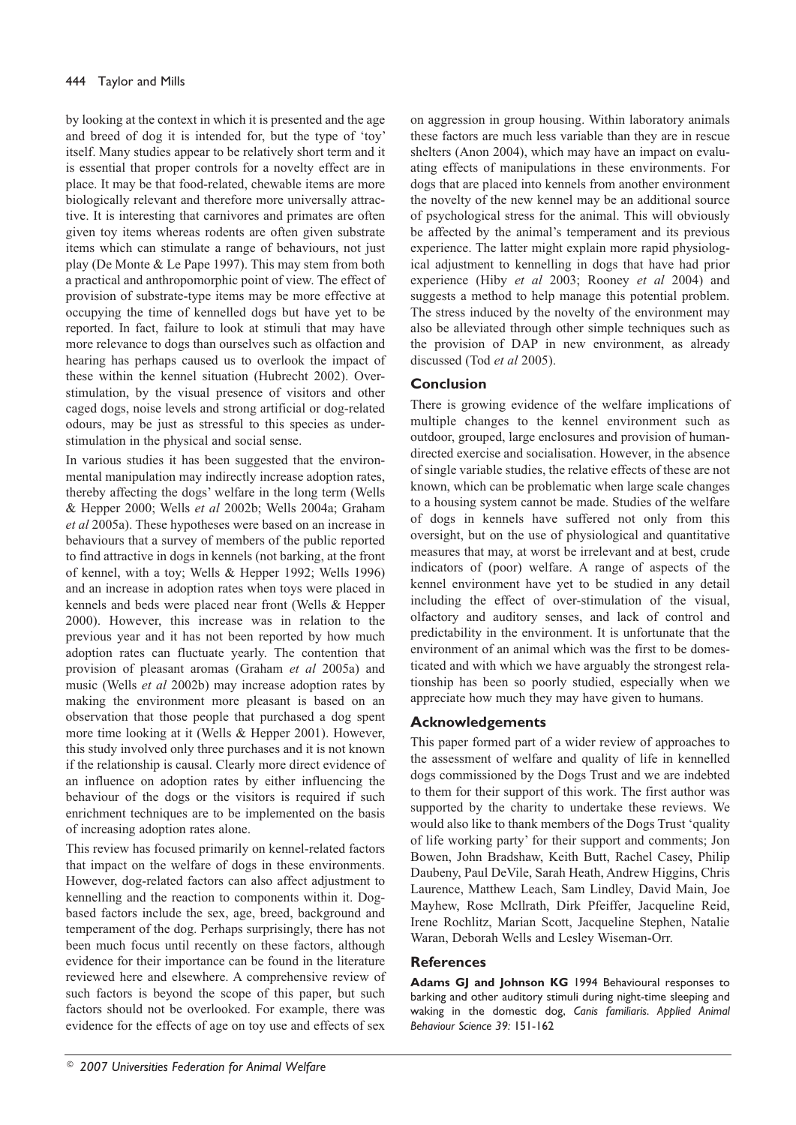by looking at the context in which it is presented and the age and breed of dog it is intended for, but the type of 'toy' itself. Many studies appear to be relatively short term and it is essential that proper controls for a novelty effect are in place. It may be that food-related, chewable items are more biologically relevant and therefore more universally attractive. It is interesting that carnivores and primates are often given toy items whereas rodents are often given substrate items which can stimulate a range of behaviours, not just play (De Monte & Le Pape 1997). This may stem from both a practical and anthropomorphic point of view. The effect of provision of substrate-type items may be more effective at occupying the time of kennelled dogs but have yet to be reported. In fact, failure to look at stimuli that may have more relevance to dogs than ourselves such as olfaction and hearing has perhaps caused us to overlook the impact of these within the kennel situation (Hubrecht 2002). Overstimulation, by the visual presence of visitors and other caged dogs, noise levels and strong artificial or dog-related odours, may be just as stressful to this species as understimulation in the physical and social sense.

In various studies it has been suggested that the environmental manipulation may indirectly increase adoption rates, thereby affecting the dogs' welfare in the long term (Wells & Hepper 2000; Wells et al 2002b; Wells 2004a; Graham et al 2005a). These hypotheses were based on an increase in behaviours that a survey of members of the public reported to find attractive in dogs in kennels (not barking, at the front of kennel, with a toy; Wells & Hepper 1992; Wells 1996) and an increase in adoption rates when toys were placed in kennels and beds were placed near front (Wells & Hepper 2000). However, this increase was in relation to the previous year and it has not been reported by how much adoption rates can fluctuate yearly. The contention that provision of pleasant aromas (Graham et al 2005a) and music (Wells et al 2002b) may increase adoption rates by making the environment more pleasant is based on an observation that those people that purchased a dog spent more time looking at it (Wells & Hepper 2001). However, this study involved only three purchases and it is not known if the relationship is causal. Clearly more direct evidence of an influence on adoption rates by either influencing the behaviour of the dogs or the visitors is required if such enrichment techniques are to be implemented on the basis of increasing adoption rates alone.

This review has focused primarily on kennel-related factors that impact on the welfare of dogs in these environments. However, dog-related factors can also affect adjustment to kennelling and the reaction to components within it. Dogbased factors include the sex, age, breed, background and temperament of the dog. Perhaps surprisingly, there has not been much focus until recently on these factors, although evidence for their importance can be found in the literature reviewed here and elsewhere. A comprehensive review of such factors is beyond the scope of this paper, but such factors should not be overlooked. For example, there was evidence for the effects of age on toy use and effects of sex

on aggression in group housing. Within laboratory animals these factors are much less variable than they are in rescue shelters (Anon 2004), which may have an impact on evaluating effects of manipulations in these environments. For dogs that are placed into kennels from another environment the novelty of the new kennel may be an additional source of psychological stress for the animal. This will obviously be affected by the animal's temperament and its previous experience. The latter might explain more rapid physiological adjustment to kennelling in dogs that have had prior experience (Hiby et al 2003; Rooney et al 2004) and suggests a method to help manage this potential problem. The stress induced by the novelty of the environment may also be alleviated through other simple techniques such as the provision of DAP in new environment, as already discussed (Tod et al 2005).

## Conclusion

There is growing evidence of the welfare implications of multiple changes to the kennel environment such as outdoor, grouped, large enclosures and provision of humandirected exercise and socialisation. However, in the absence of single variable studies, the relative effects of these are not known, which can be problematic when large scale changes to a housing system cannot be made. Studies of the welfare of dogs in kennels have suffered not only from this oversight, but on the use of physiological and quantitative measures that may, at worst be irrelevant and at best, crude indicators of (poor) welfare. A range of aspects of the kennel environment have yet to be studied in any detail including the effect of over-stimulation of the visual, olfactory and auditory senses, and lack of control and predictability in the environment. It is unfortunate that the environment of an animal which was the first to be domesticated and with which we have arguably the strongest relationship has been so poorly studied, especially when we appreciate how much they may have given to humans.

## **Acknowledgements**

This paper formed part of a wider review of approaches to the assessment of welfare and quality of life in kennelled dogs commissioned by the Dogs Trust and we are indebted to them for their support of this work. The first author was supported by the charity to undertake these reviews. We would also like to thank members of the Dogs Trust 'quality of life working party' for their support and comments; Jon Bowen, John Bradshaw, Keith Butt, Rachel Casey, Philip Daubeny, Paul DeVile, Sarah Heath, Andrew Higgins, Chris Laurence, Matthew Leach, Sam Lindley, David Main, Joe Mayhew, Rose McIlrath, Dirk Pfeiffer, Jacqueline Reid, Irene Rochlitz, Marian Scott, Jacqueline Stephen, Natalie Waran, Deborah Wells and Lesley Wiseman-Orr.

#### **References**

Adams GJ and Johnson KG 1994 Behavioural responses to barking and other auditory stimuli during night-time sleeping and waking in the domestic dog, Canis familiaris. Applied Animal Behaviour Science 39: 151-162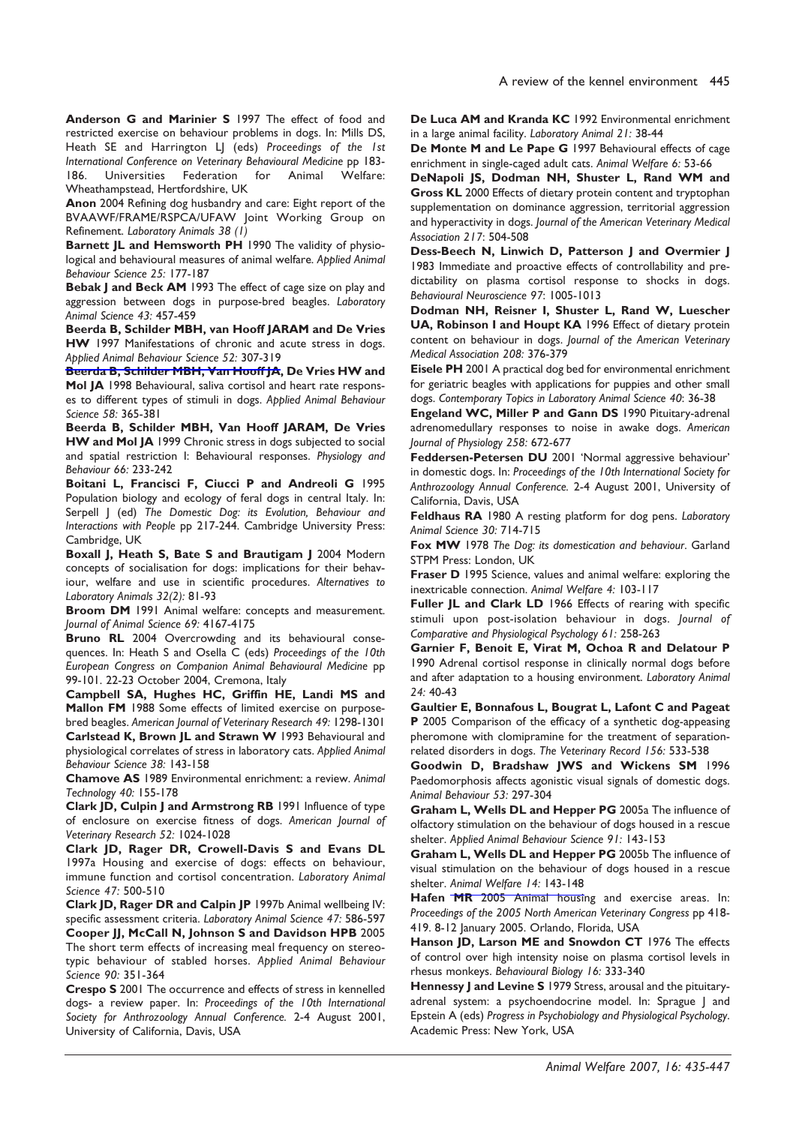Anderson G and Marinier S 1997 The effect of food and restricted exercise on behaviour problems in dogs. In: Mills DS, Heath SE and Harrington LJ (eds) Proceedings of the 1st International Conference on Veterinary Behavioural Medicine pp 183-Universities Federation for 186. Animal Welfare: Wheathampstead, Hertfordshire, UK

Anon 2004 Refining dog husbandry and care: Eight report of the BVAAWF/FRAME/RSPCA/UFAW Joint Working Group on Refinement. Laboratory Animals 38 (1)

Barnett JL and Hemsworth PH 1990 The validity of physiological and behavioural measures of animal welfare. Applied Animal Behaviour Science 25: 177-187

Bebak J and Beck AM 1993 The effect of cage size on play and aggression between dogs in purpose-bred beagles. Laboratory Animal Science 43: 457-459

Beerda B, Schilder MBH, van Hooff JARAM and De Vries HW 1997 Manifestations of chronic and acute stress in dogs. Applied Animal Behaviour Science 52: 307-319

Beerda B, Schilder MBH, Van Hooff JA, De Vries HW and Mol JA 1998 Behavioural, saliva cortisol and heart rate responses to different types of stimuli in dogs. Applied Animal Behaviour Science 58: 365-381

Beerda B, Schilder MBH, Van Hooff JARAM, De Vries HW and Mol JA 1999 Chronic stress in dogs subjected to social and spatial restriction I: Behavioural responses. Physiology and Behaviour 66: 233-242

Boitani L, Francisci F, Ciucci P and Andreoli G 1995 Population biology and ecology of feral dogs in central Italy. In: Serpell J (ed) The Domestic Dog: its Evolution, Behaviour and Interactions with People pp 217-244. Cambridge University Press: Cambridge, UK

Boxall J, Heath S, Bate S and Brautigam J 2004 Modern concepts of socialisation for dogs: implications for their behaviour, welfare and use in scientific procedures. Alternatives to Laboratory Animals 32(2): 81-93

Broom DM 1991 Animal welfare: concepts and measurement. Journal of Animal Science 69: 4167-4175

Bruno RL 2004 Overcrowding and its behavioural consequences. In: Heath S and Osella C (eds) Proceedings of the 10th European Congress on Companion Animal Behavioural Medicine pp 99-101. 22-23 October 2004, Cremona, Italy

Campbell SA, Hughes HC, Griffin HE, Landi MS and Mallon FM 1988 Some effects of limited exercise on purposebred beagles. American Journal of Veterinary Research 49: 1298-1301 Carlstead K, Brown JL and Strawn W 1993 Behavioural and physiological correlates of stress in laboratory cats. Applied Animal Behaviour Science 38: 143-158

Chamove AS 1989 Environmental enrichment: a review. Animal Technology 40: 155-178

Clark JD, Culpin J and Armstrong RB 1991 Influence of type of enclosure on exercise fitness of dogs. American Journal of Veterinary Research 52: 1024-1028

Clark JD, Rager DR, Crowell-Davis S and Evans DL 1997a Housing and exercise of dogs: effects on behaviour, immune function and cortisol concentration. Laboratory Animal Science 47: 500-510

Clark JD, Rager DR and Calpin JP 1997b Animal wellbeing IV: specific assessment criteria. Laboratory Animal Science 47: 586-597 Cooper JJ, McCall N, Johnson S and Davidson HPB 2005 The short term effects of increasing meal frequency on stereotypic behaviour of stabled horses. Applied Animal Behaviour Science 90: 351-364

Crespo S 2001 The occurrence and effects of stress in kennelled dogs- a review paper. In: Proceedings of the 10th International Society for Anthrozoology Annual Conference. 2-4 August 2001, University of California, Davis, USA

De Luca AM and Kranda KC 1992 Environmental enrichment in a large animal facility. Laboratory Animal 21: 38-44

De Monte M and Le Pape G 1997 Behavioural effects of cage enrichment in single-caged adult cats. Animal Welfare 6: 53-66

DeNapoli JS, Dodman NH, Shuster L, Rand WM and Gross KL 2000 Effects of dietary protein content and tryptophan supplementation on dominance aggression, territorial aggression and hyperactivity in dogs. Journal of the American Veterinary Medical Association 217: 504-508

Dess-Beech N, Linwich D, Patterson J and Overmier J 1983 Immediate and proactive effects of controllability and predictability on plasma cortisol response to shocks in dogs. Behavioural Neuroscience 97: 1005-1013

Dodman NH, Reisner I, Shuster L, Rand W, Luescher UA, Robinson I and Houpt KA 1996 Effect of dietary protein content on behaviour in dogs. Journal of the American Veterinary Medical Association 208: 376-379

Eisele PH 2001 A practical dog bed for environmental enrichment for geriatric beagles with applications for puppies and other small dogs. Contemporary Topics in Laboratory Animal Science 40: 36-38

Engeland WC, Miller P and Gann DS 1990 Pituitary-adrenal adrenomedullary responses to noise in awake dogs. American Journal of Physiology 258: 672-677

Feddersen-Petersen DU 2001 'Normal aggressive behaviour' in domestic dogs. In: Proceedings of the 10th International Society for Anthrozoology Annual Conference. 2-4 August 2001, University of California, Davis, USA

Feldhaus RA 1980 A resting platform for dog pens. Laboratory Animal Science 30: 714-715

Fox MW 1978 The Dog: its domestication and behaviour. Garland STPM Press: London, UK

Fraser D 1995 Science, values and animal welfare: exploring the inextricable connection. Animal Welfare 4: 103-117

Fuller JL and Clark LD 1966 Effects of rearing with specific stimuli upon post-isolation behaviour in dogs. Journal of Comparative and Physiological Psychology 61: 258-263

Garnier F, Benoit E, Virat M, Ochoa R and Delatour P 1990 Adrenal cortisol response in clinically normal dogs before and after adaptation to a housing environment. Laboratory Animal 24: 40-43

Gaultier E, Bonnafous L, Bougrat L, Lafont C and Pageat P 2005 Comparison of the efficacy of a synthetic dog-appeasing pheromone with clomipramine for the treatment of separationrelated disorders in dogs. The Veterinary Record 156: 533-538

Goodwin D, Bradshaw JWS and Wickens SM 1996 Paedomorphosis affects agonistic visual signals of domestic dogs. Animal Behaviour 53: 297-304

Graham L, Wells DL and Hepper PG 2005a The influence of olfactory stimulation on the behaviour of dogs housed in a rescue shelter. Applied Animal Behaviour Science 91: 143-153

Graham L, Wells DL and Hepper PG 2005b The influence of visual stimulation on the behaviour of dogs housed in a rescue shelter. Animal Welfare 14: 143-148

Hafen MR 2005 Animal housing and exercise areas. In: Proceedings of the 2005 North American Veterinary Congress pp 418-419. 8-12 January 2005. Orlando, Florida, USA

Hanson JD, Larson ME and Snowdon CT 1976 The effects of control over high intensity noise on plasma cortisol levels in rhesus monkeys. Behavioural Biology 16: 333-340

Hennessy J and Levine S 1979 Stress, arousal and the pituitaryadrenal system: a psychoendocrine model. In: Sprague J and Epstein A (eds) Progress in Psychobiology and Physiological Psychology. Academic Press: New York, USA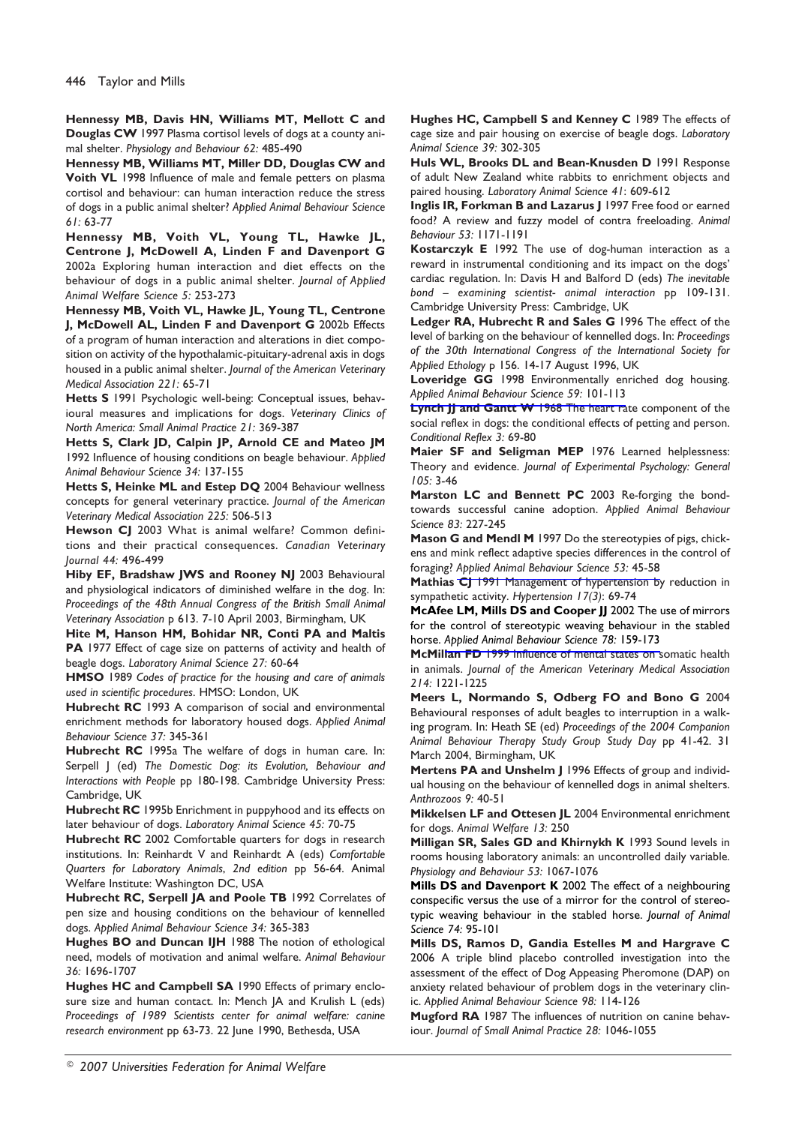Hennessy MB, Davis HN, Williams MT, Mellott C and Douglas CW 1997 Plasma cortisol levels of dogs at a county animal shelter. Physiology and Behaviour 62: 485-490

Hennessy MB, Williams MT, Miller DD, Douglas CW and Voith VL 1998 Influence of male and female petters on plasma cortisol and behaviour: can human interaction reduce the stress of dogs in a public animal shelter? Applied Animal Behaviour Science  $61:63-77$ 

Hennessy MB, Voith VL, Young TL, Hawke JL, Centrone J, McDowell A, Linden F and Davenport G 2002a Exploring human interaction and diet effects on the behaviour of dogs in a public animal shelter. Journal of Applied Animal Welfare Science 5: 253-273

Hennessy MB, Voith VL, Hawke JL, Young TL, Centrone J, McDowell AL, Linden F and Davenport G 2002b Effects of a program of human interaction and alterations in diet composition on activity of the hypothalamic-pituitary-adrenal axis in dogs housed in a public animal shelter. Journal of the American Veterinary Medical Association 221: 65-71

Hetts S 1991 Psychologic well-being: Conceptual issues, behavioural measures and implications for dogs. Veterinary Clinics of North America: Small Animal Practice 21: 369-387

Hetts S, Clark JD, Calpin JP, Arnold CE and Mateo JM 1992 Influence of housing conditions on beagle behaviour. Applied Animal Behaviour Science 34: 137-155

Hetts S, Heinke ML and Estep DQ 2004 Behaviour wellness concepts for general veterinary practice. Journal of the American Veterinary Medical Association 225: 506-513

Hewson CJ 2003 What is animal welfare? Common definitions and their practical consequences. Canadian Veterinary Journal 44: 496-499

Hiby EF, Bradshaw JWS and Rooney NJ 2003 Behavioural and physiological indicators of diminished welfare in the dog. In: Proceedings of the 48th Annual Congress of the British Small Animal Veterinary Association p 613. 7-10 April 2003, Birmingham, UK

Hite M, Hanson HM, Bohidar NR, Conti PA and Maltis PA 1977 Effect of cage size on patterns of activity and health of beagle dogs. Laboratory Animal Science 27: 60-64

HMSO 1989 Codes of practice for the housing and care of animals used in scientific procedures. HMSO: London, UK

Hubrecht RC 1993 A comparison of social and environmental enrichment methods for laboratory housed dogs. Applied Animal Behaviour Science 37: 345-361

Hubrecht RC 1995a The welfare of dogs in human care. In: Serpell J (ed) The Domestic Dog: its Evolution, Behaviour and Interactions with People pp 180-198. Cambridge University Press: Cambridge, UK

Hubrecht RC 1995b Enrichment in puppyhood and its effects on later behaviour of dogs. Laboratory Animal Science 45: 70-75

Hubrecht RC 2002 Comfortable quarters for dogs in research institutions. In: Reinhardt V and Reinhardt A (eds) Comfortable Quarters for Laboratory Animals, 2nd edition pp 56-64. Animal Welfare Institute: Washington DC, USA

Hubrecht RC, Serpell JA and Poole TB 1992 Correlates of pen size and housing conditions on the behaviour of kennelled dogs. Applied Animal Behaviour Science 34: 365-383

Hughes BO and Duncan IJH 1988 The notion of ethological need, models of motivation and animal welfare. Animal Behaviour 36: 1696-1707

Hughes HC and Campbell SA 1990 Effects of primary enclosure size and human contact. In: Mench JA and Krulish L (eds) Proceedings of 1989 Scientists center for animal welfare: canine research environment pp 63-73. 22 June 1990, Bethesda, USA

Hughes HC, Campbell S and Kenney C 1989 The effects of cage size and pair housing on exercise of beagle dogs. Laboratory Animal Science 39: 302-305

Huls WL, Brooks DL and Bean-Knusden D 1991 Response of adult New Zealand white rabbits to enrichment objects and paired housing. Laboratory Animal Science 41: 609-612

Inglis IR, Forkman B and Lazarus J 1997 Free food or earned food? A review and fuzzy model of contra freeloading. Animal Behaviour 53: 1171-1191

Kostarczyk E 1992 The use of dog-human interaction as a reward in instrumental conditioning and its impact on the dogs' cardiac regulation. In: Davis H and Balford D (eds) The inevitable bond - examining scientist- animal interaction pp 109-131. Cambridge University Press: Cambridge, UK

Ledger RA, Hubrecht R and Sales G 1996 The effect of the level of barking on the behaviour of kennelled dogs. In: Proceedings of the 30th International Congress of the International Society for Applied Ethology p 156. 14-17 August 1996, UK

Loveridge GG 1998 Environmentally enriched dog housing. Applied Animal Behaviour Science 59: 101-113

**Lynch JJ and Gantt W 1968 The heart rate component of the** social reflex in dogs: the conditional effects of petting and person. Conditional Reflex 3: 69-80

Maier SF and Seligman MEP 1976 Learned helplessness: Theory and evidence. Journal of Experimental Psychology: General  $105: 3-46$ 

Marston LC and Bennett PC 2003 Re-forging the bondtowards successful canine adoption. Applied Animal Behaviour Science 83: 227-245

Mason G and Mendl M 1997 Do the stereotypies of pigs, chickens and mink reflect adaptive species differences in the control of foraging? Applied Animal Behaviour Science 53: 45-58

Mathias CJ 1991 Management of hypertension by reduction in sympathetic activity. Hypertension 17(3): 69-74

McAfee LM, Mills DS and Cooper JJ 2002 The use of mirrors for the control of stereotypic weaving behaviour in the stabled horse. Applied Animal Behaviour Science 78: 159-173

McMillan FD 1999 Influence of mental states on somatic health in animals. Journal of the American Veterinary Medical Association 214: 1221-1225

Meers L, Normando S, Odberg FO and Bono G 2004 Behavioural responses of adult beagles to interruption in a walking program. In: Heath SE (ed) Proceedings of the 2004 Companion Animal Behaviour Therapy Study Group Study Day pp 41-42. 31 March 2004, Birmingham, UK

Mertens PA and Unshelm J 1996 Effects of group and individual housing on the behaviour of kennelled dogs in animal shelters. Anthrozoos 9: 40-51

Mikkelsen LF and Ottesen JL 2004 Environmental enrichment for dogs. Animal Welfare 13: 250

Milligan SR, Sales GD and Khirnykh K 1993 Sound levels in rooms housing laboratory animals: an uncontrolled daily variable. Physiology and Behaviour 53: 1067-1076

Mills DS and Davenport K 2002 The effect of a neighbouring conspecific versus the use of a mirror for the control of stereotypic weaving behaviour in the stabled horse. Journal of Animal Science 74: 95-101

Mills DS, Ramos D, Gandia Estelles M and Hargrave C 2006 A triple blind placebo controlled investigation into the assessment of the effect of Dog Appeasing Pheromone (DAP) on anxiety related behaviour of problem dogs in the veterinary clinic. Applied Animal Behaviour Science 98: 114-126

Mugford RA 1987 The influences of nutrition on canine behaviour. Journal of Small Animal Practice 28: 1046-1055